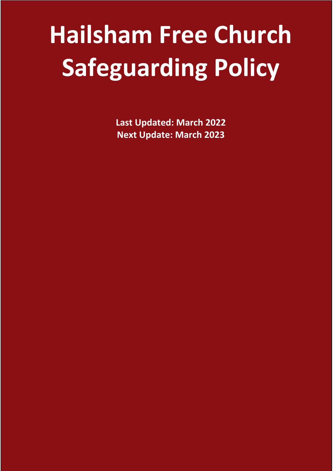# **Hailsham Free Church Safeguarding Policy**

**Last Updated: March 2022 Next Update: March 2023**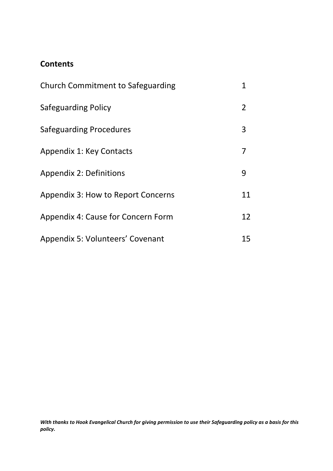# **Contents**

| <b>Church Commitment to Safeguarding</b> |    |  |  |  |  |  |  |  |  |
|------------------------------------------|----|--|--|--|--|--|--|--|--|
| Safeguarding Policy                      |    |  |  |  |  |  |  |  |  |
| Safeguarding Procedures                  | 3  |  |  |  |  |  |  |  |  |
| Appendix 1: Key Contacts                 | 7  |  |  |  |  |  |  |  |  |
| Appendix 2: Definitions                  | 9  |  |  |  |  |  |  |  |  |
| Appendix 3: How to Report Concerns       | 11 |  |  |  |  |  |  |  |  |
| Appendix 4: Cause for Concern Form       | 12 |  |  |  |  |  |  |  |  |
| Appendix 5: Volunteers' Covenant         | 15 |  |  |  |  |  |  |  |  |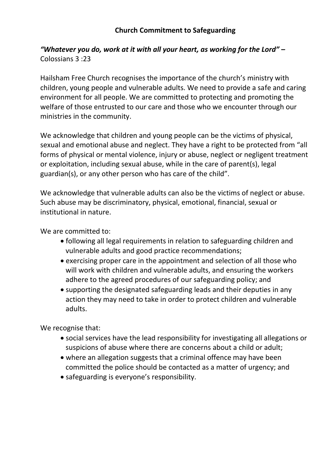## *"Whatever you do, work at it with all your heart, as working for the Lord" –* Colossians 3 :23

Hailsham Free Church recognises the importance of the church's ministry with children, young people and vulnerable adults. We need to provide a safe and caring environment for all people. We are committed to protecting and promoting the welfare of those entrusted to our care and those who we encounter through our ministries in the community.

We acknowledge that children and young people can be the victims of physical, sexual and emotional abuse and neglect. They have a right to be protected from "all forms of physical or mental violence, injury or abuse, neglect or negligent treatment or exploitation, including sexual abuse, while in the care of parent(s), legal guardian(s), or any other person who has care of the child".

We acknowledge that vulnerable adults can also be the victims of neglect or abuse. Such abuse may be discriminatory, physical, emotional, financial, sexual or institutional in nature.

We are committed to:

- following all legal requirements in relation to safeguarding children and vulnerable adults and good practice recommendations;
- exercising proper care in the appointment and selection of all those who will work with children and vulnerable adults, and ensuring the workers adhere to the agreed procedures of our safeguarding policy; and
- supporting the designated safeguarding leads and their deputies in any action they may need to take in order to protect children and vulnerable adults.

We recognise that:

- social services have the lead responsibility for investigating all allegations or suspicions of abuse where there are concerns about a child or adult;
- where an allegation suggests that a criminal offence may have been committed the police should be contacted as a matter of urgency; and
- safeguarding is everyone's responsibility.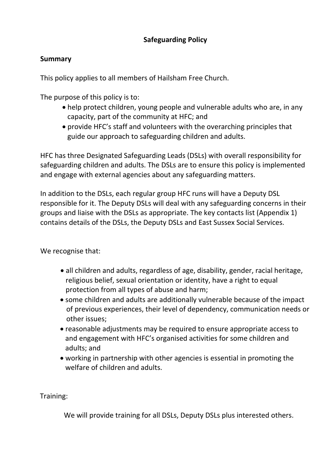## **Safeguarding Policy**

## **Summary**

This policy applies to all members of Hailsham Free Church.

The purpose of this policy is to:

- help protect children, young people and vulnerable adults who are, in any capacity, part of the community at HFC; and
- provide HFC's staff and volunteers with the overarching principles that guide our approach to safeguarding children and adults.

HFC has three Designated Safeguarding Leads (DSLs) with overall responsibility for safeguarding children and adults. The DSLs are to ensure this policy is implemented and engage with external agencies about any safeguarding matters.

In addition to the DSLs, each regular group HFC runs will have a Deputy DSL responsible for it. The Deputy DSLs will deal with any safeguarding concerns in their groups and liaise with the DSLs as appropriate. The key contacts list (Appendix 1) contains details of the DSLs, the Deputy DSLs and East Sussex Social Services.

We recognise that:

- all children and adults, regardless of age, disability, gender, racial heritage, religious belief, sexual orientation or identity, have a right to equal protection from all types of abuse and harm;
- some children and adults are additionally vulnerable because of the impact of previous experiences, their level of dependency, communication needs or other issues;
- reasonable adjustments may be required to ensure appropriate access to and engagement with HFC's organised activities for some children and adults; and
- working in partnership with other agencies is essential in promoting the welfare of children and adults.

Training:

We will provide training for all DSLs, Deputy DSLs plus interested others.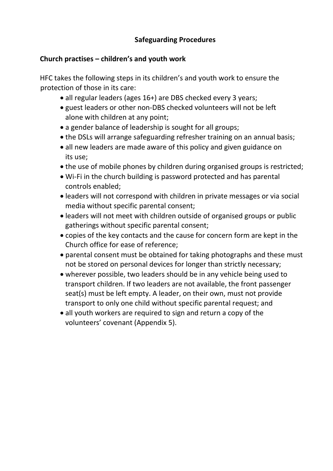## **Safeguarding Procedures**

## **Church practises – children's and youth work**

HFC takes the following steps in its children's and youth work to ensure the protection of those in its care:

- all regular leaders (ages 16+) are DBS checked every 3 years;
- guest leaders or other non-DBS checked volunteers will not be left alone with children at any point;
- a gender balance of leadership is sought for all groups;
- the DSLs will arrange safeguarding refresher training on an annual basis;
- all new leaders are made aware of this policy and given guidance on its use;
- the use of mobile phones by children during organised groups is restricted;
- Wi-Fi in the church building is password protected and has parental controls enabled;
- leaders will not correspond with children in private messages or via social media without specific parental consent;
- leaders will not meet with children outside of organised groups or public gatherings without specific parental consent;
- copies of the key contacts and the cause for concern form are kept in the Church office for ease of reference;
- parental consent must be obtained for taking photographs and these must not be stored on personal devices for longer than strictly necessary;
- wherever possible, two leaders should be in any vehicle being used to transport children. If two leaders are not available, the front passenger seat(s) must be left empty. A leader, on their own, must not provide transport to only one child without specific parental request; and
- all youth workers are required to sign and return a copy of the volunteers' covenant (Appendix 5).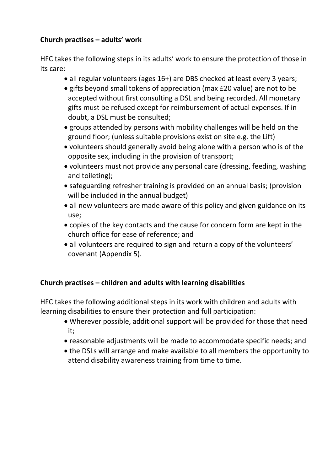## **Church practises – adults' work**

HFC takes the following steps in its adults' work to ensure the protection of those in its care:

- all regular volunteers (ages 16+) are DBS checked at least every 3 years;
- gifts beyond small tokens of appreciation (max £20 value) are not to be accepted without first consulting a DSL and being recorded. All monetary gifts must be refused except for reimbursement of actual expenses. If in doubt, a DSL must be consulted;
- groups attended by persons with mobility challenges will be held on the ground floor; (unless suitable provisions exist on site e.g. the Lift)
- volunteers should generally avoid being alone with a person who is of the opposite sex, including in the provision of transport;
- volunteers must not provide any personal care (dressing, feeding, washing and toileting);
- safeguarding refresher training is provided on an annual basis; (provision will be included in the annual budget)
- all new volunteers are made aware of this policy and given guidance on its use;
- copies of the key contacts and the cause for concern form are kept in the church office for ease of reference; and
- all volunteers are required to sign and return a copy of the volunteers' covenant (Appendix 5).

# **Church practises – children and adults with learning disabilities**

HFC takes the following additional steps in its work with children and adults with learning disabilities to ensure their protection and full participation:

- Wherever possible, additional support will be provided for those that need it;
- reasonable adjustments will be made to accommodate specific needs; and
- the DSLs will arrange and make available to all members the opportunity to attend disability awareness training from time to time.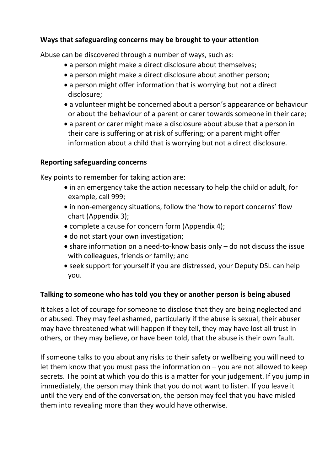## **Ways that safeguarding concerns may be brought to your attention**

Abuse can be discovered through a number of ways, such as:

- a person might make a direct disclosure about themselves;
- a person might make a direct disclosure about another person;
- a person might offer information that is worrying but not a direct disclosure;
- a volunteer might be concerned about a person's appearance or behaviour or about the behaviour of a parent or carer towards someone in their care;
- a parent or carer might make a disclosure about abuse that a person in their care is suffering or at risk of suffering; or a parent might offer information about a child that is worrying but not a direct disclosure.

#### **Reporting safeguarding concerns**

Key points to remember for taking action are:

- in an emergency take the action necessary to help the child or adult, for example, call 999;
- in non-emergency situations, follow the 'how to report concerns' flow chart (Appendix 3);
- complete a cause for concern form (Appendix 4);
- do not start your own investigation;
- share information on a need-to-know basis only do not discuss the issue with colleagues, friends or family; and
- seek support for yourself if you are distressed, your Deputy DSL can help you.

#### **Talking to someone who has told you they or another person is being abused**

It takes a lot of courage for someone to disclose that they are being neglected and or abused. They may feel ashamed, particularly if the abuse is sexual, their abuser may have threatened what will happen if they tell, they may have lost all trust in others, or they may believe, or have been told, that the abuse is their own fault.

If someone talks to you about any risks to their safety or wellbeing you will need to let them know that you must pass the information on  $-$  you are not allowed to keep secrets. The point at which you do this is a matter for your judgement. If you jump in immediately, the person may think that you do not want to listen. If you leave it until the very end of the conversation, the person may feel that you have misled them into revealing more than they would have otherwise.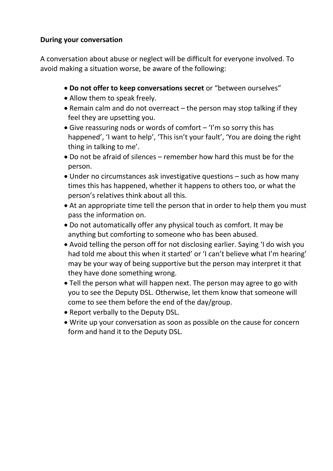## **During your conversation**

A conversation about abuse or neglect will be difficult for everyone involved. To avoid making a situation worse, be aware of the following:

- **Do not offer to keep conversations secret** or "between ourselves"
- Allow them to speak freely.
- Remain calm and do not overreact the person may stop talking if they feel they are upsetting you.
- Give reassuring nods or words of comfort 'I'm so sorry this has happened', 'I want to help', 'This isn't your fault', 'You are doing the right thing in talking to me'.
- Do not be afraid of silences remember how hard this must be for the person.
- Under no circumstances ask investigative questions such as how many times this has happened, whether it happens to others too, or what the person's relatives think about all this.
- At an appropriate time tell the person that in order to help them you must pass the information on.
- Do not automatically offer any physical touch as comfort. It may be anything but comforting to someone who has been abused.
- Avoid telling the person off for not disclosing earlier. Saying 'I do wish you had told me about this when it started' or 'I can't believe what I'm hearing' may be your way of being supportive but the person may interpret it that they have done something wrong.
- Tell the person what will happen next. The person may agree to go with you to see the Deputy DSL. Otherwise, let them know that someone will come to see them before the end of the day/group.
- Report verbally to the Deputy DSL.
- Write up your conversation as soon as possible on the cause for concern form and hand it to the Deputy DSL.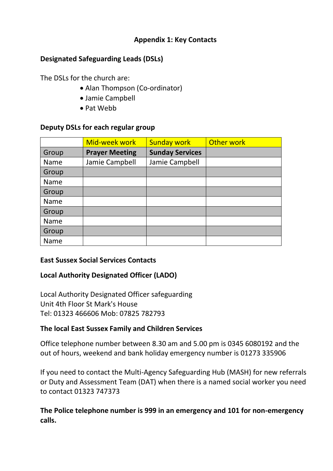#### **Appendix 1: Key Contacts**

## **Designated Safeguarding Leads (DSLs)**

The DSLs for the church are:

- Alan Thompson (Co-ordinator)
- Jamie Campbell
- Pat Webb

## **Deputy DSLs for each regular group**

|       | Mid-week work         | <b>Sunday work</b>     | Other work |
|-------|-----------------------|------------------------|------------|
| Group | <b>Prayer Meeting</b> | <b>Sunday Services</b> |            |
| Name  | Jamie Campbell        | Jamie Campbell         |            |
| Group |                       |                        |            |
| Name  |                       |                        |            |
| Group |                       |                        |            |
| Name  |                       |                        |            |
| Group |                       |                        |            |
| Name  |                       |                        |            |
| Group |                       |                        |            |
| Name  |                       |                        |            |

#### **East Sussex Social Services Contacts**

## **Local Authority Designated Officer (LADO)**

Local Authority Designated Officer safeguarding Unit 4th Floor St Mark's House Tel: 01323 466606 Mob: 07825 782793

#### **The local East Sussex Family and Children Services**

Office telephone number between 8.30 am and 5.00 pm is 0345 6080192 and the out of hours, weekend and bank holiday emergency number is 01273 335906

If you need to contact the Multi-Agency Safeguarding Hub (MASH) for new referrals or Duty and Assessment Team (DAT) when there is a named social worker you need to contact 01323 747373

**The Police telephone number is 999 in an emergency and 101 for non-emergency calls.**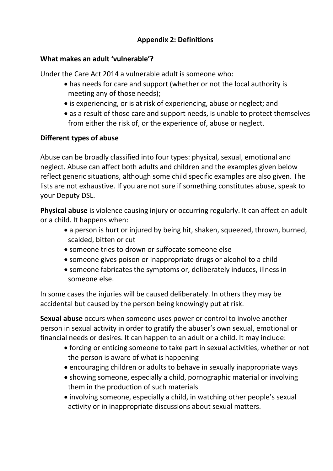## **Appendix 2: Definitions**

## **What makes an adult 'vulnerable'?**

Under the Care Act 2014 a vulnerable adult is someone who:

- has needs for care and support (whether or not the local authority is meeting any of those needs);
- is experiencing, or is at risk of experiencing, abuse or neglect; and
- as a result of those care and support needs, is unable to protect themselves from either the risk of, or the experience of, abuse or neglect.

## **Different types of abuse**

Abuse can be broadly classified into four types: physical, sexual, emotional and neglect. Abuse can affect both adults and children and the examples given below reflect generic situations, although some child specific examples are also given. The lists are not exhaustive. If you are not sure if something constitutes abuse, speak to your Deputy DSL.

**Physical abuse** is violence causing injury or occurring regularly. It can affect an adult or a child. It happens when:

- a person is hurt or injured by being hit, shaken, squeezed, thrown, burned, scalded, bitten or cut
- someone tries to drown or suffocate someone else
- someone gives poison or inappropriate drugs or alcohol to a child
- someone fabricates the symptoms or, deliberately induces, illness in someone else.

In some cases the injuries will be caused deliberately. In others they may be accidental but caused by the person being knowingly put at risk.

**Sexual abuse** occurs when someone uses power or control to involve another person in sexual activity in order to gratify the abuser's own sexual, emotional or financial needs or desires. It can happen to an adult or a child. It may include:

- forcing or enticing someone to take part in sexual activities, whether or not the person is aware of what is happening
- encouraging children or adults to behave in sexually inappropriate ways
- showing someone, especially a child, pornographic material or involving them in the production of such materials
- involving someone, especially a child, in watching other people's sexual activity or in inappropriate discussions about sexual matters.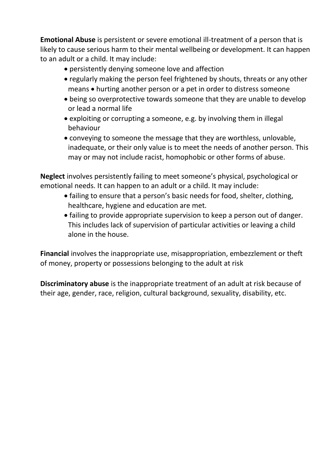**Emotional Abuse** is persistent or severe emotional ill-treatment of a person that is likely to cause serious harm to their mental wellbeing or development. It can happen to an adult or a child. It may include:

- persistently denying someone love and affection
- regularly making the person feel frightened by shouts, threats or any other means • hurting another person or a pet in order to distress someone
- being so overprotective towards someone that they are unable to develop or lead a normal life
- exploiting or corrupting a someone, e.g. by involving them in illegal behaviour
- conveying to someone the message that they are worthless, unlovable, inadequate, or their only value is to meet the needs of another person. This may or may not include racist, homophobic or other forms of abuse.

**Neglect** involves persistently failing to meet someone's physical, psychological or emotional needs. It can happen to an adult or a child. It may include:

- failing to ensure that a person's basic needs for food, shelter, clothing, healthcare, hygiene and education are met.
- failing to provide appropriate supervision to keep a person out of danger. This includes lack of supervision of particular activities or leaving a child alone in the house.

**Financial** involves the inappropriate use, misappropriation, embezzlement or theft of money, property or possessions belonging to the adult at risk

**Discriminatory abuse** is the inappropriate treatment of an adult at risk because of their age, gender, race, religion, cultural background, sexuality, disability, etc.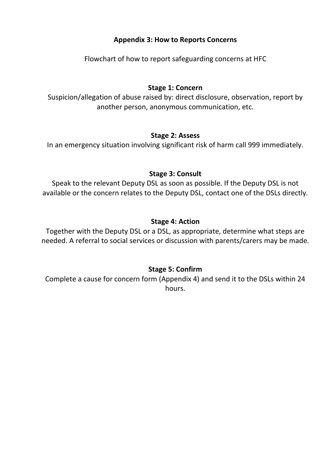## **Appendix 3: How to Reports Concerns**

Flowchart of how to report safeguarding concerns at HFC

## **Stage 1: Concern**

Suspicion/allegation of abuse raised by: direct disclosure, observation, report by another person, anonymous communication, etc.

#### **Stage 2: Assess**

In an emergency situation involving significant risk of harm call 999 immediately.

#### **Stage 3: Consult**

Speak to the relevant Deputy DSL as soon as possible. If the Deputy DSL is not available or the concern relates to the Deputy DSL, contact one of the DSLs directly.

#### **Stage 4: Action**

Together with the Deputy DSL or a DSL, as appropriate, determine what steps are needed. A referral to social services or discussion with parents/carers may be made.

#### **Stage 5: Confirm**

Complete a cause for concern form (Appendix 4) and send it to the DSLs within 24 hours.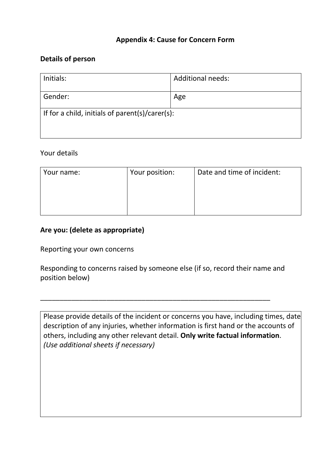#### **Appendix 4: Cause for Concern Form**

#### **Details of person**

| Initials:                                       | <b>Additional needs:</b> |
|-------------------------------------------------|--------------------------|
| Gender:                                         | Age                      |
| If for a child, initials of parent(s)/carer(s): |                          |

#### Your details

| Your name: | Your position: | Date and time of incident: |
|------------|----------------|----------------------------|
|            |                |                            |
|            |                |                            |
|            |                |                            |
|            |                |                            |

## **Are you: (delete as appropriate)**

Reporting your own concerns

Responding to concerns raised by someone else (if so, record their name and position below)

\_\_\_\_\_\_\_\_\_\_\_\_\_\_\_\_\_\_\_\_\_\_\_\_\_\_\_\_\_\_\_\_\_\_\_\_\_\_\_\_\_\_\_\_\_\_\_\_\_\_\_\_\_\_\_\_\_\_\_

Please provide details of the incident or concerns you have, including times, date description of any injuries, whether information is first hand or the accounts of others, including any other relevant detail. **Only write factual information**. *(Use additional sheets if necessary)*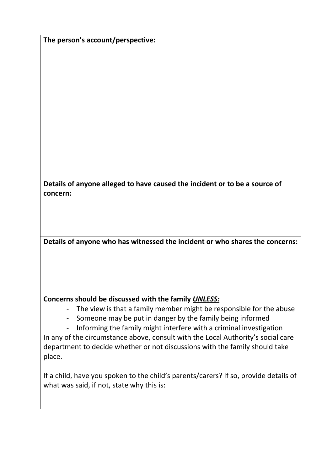**The person's account/perspective:**

**Details of anyone alleged to have caused the incident or to be a source of concern:**

**Details of anyone who has witnessed the incident or who shares the concerns:**

#### **Concerns should be discussed with the family** *UNLESS:*

- The view is that a family member might be responsible for the abuse
- Someone may be put in danger by the family being informed
- Informing the family might interfere with a criminal investigation

In any of the circumstance above, consult with the Local Authority's social care department to decide whether or not discussions with the family should take place.

If a child, have you spoken to the child's parents/carers? If so, provide details of what was said, if not, state why this is: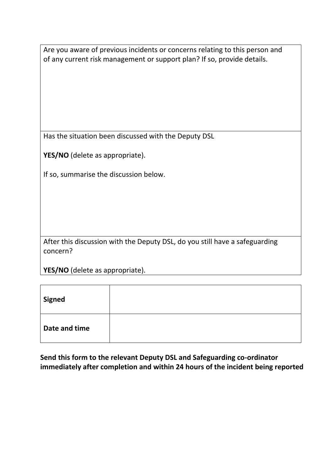Are you aware of previous incidents or concerns relating to this person and of any current risk management or support plan? If so, provide details.

Has the situation been discussed with the Deputy DSL

**YES/NO** (delete as appropriate).

If so, summarise the discussion below.

After this discussion with the Deputy DSL, do you still have a safeguarding concern?

**YES/NO** (delete as appropriate).

| Signed        |  |
|---------------|--|
| Date and time |  |

**Send this form to the relevant Deputy DSL and Safeguarding co-ordinator immediately after completion and within 24 hours of the incident being reported**